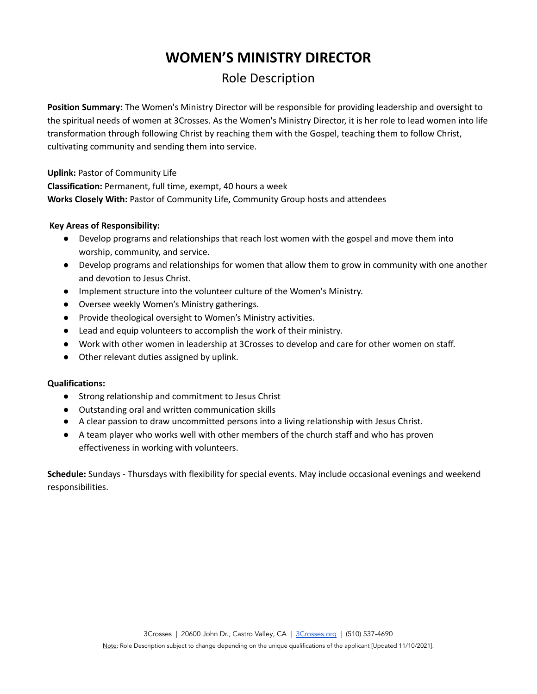# **WOMEN'S MINISTRY DIRECTOR**

## Role Description

**Position Summary:** The Women's Ministry Director will be responsible for providing leadership and oversight to the spiritual needs of women at 3Crosses. As the Women's Ministry Director, it is her role to lead women into life transformation through following Christ by reaching them with the Gospel, teaching them to follow Christ, cultivating community and sending them into service.

**Uplink:** Pastor of Community Life

**Classification:** Permanent, full time, exempt, 40 hours a week **Works Closely With:** Pastor of Community Life, Community Group hosts and attendees

### **Key Areas of Responsibility:**

- Develop programs and relationships that reach lost women with the gospel and move them into worship, community, and service.
- Develop programs and relationships for women that allow them to grow in community with one another and devotion to Jesus Christ.
- Implement structure into the volunteer culture of the Women's Ministry.
- Oversee weekly Women's Ministry gatherings.
- Provide theological oversight to Women's Ministry activities.
- Lead and equip volunteers to accomplish the work of their ministry.
- Work with other women in leadership at 3Crosses to develop and care for other women on staff.
- Other relevant duties assigned by uplink.

### **Qualifications:**

- Strong relationship and commitment to Jesus Christ
- Outstanding oral and written communication skills
- A clear passion to draw uncommitted persons into a living relationship with Jesus Christ.
- A team player who works well with other members of the church staff and who has proven effectiveness in working with volunteers.

**Schedule:** Sundays - Thursdays with flexibility for special events. May include occasional evenings and weekend responsibilities.